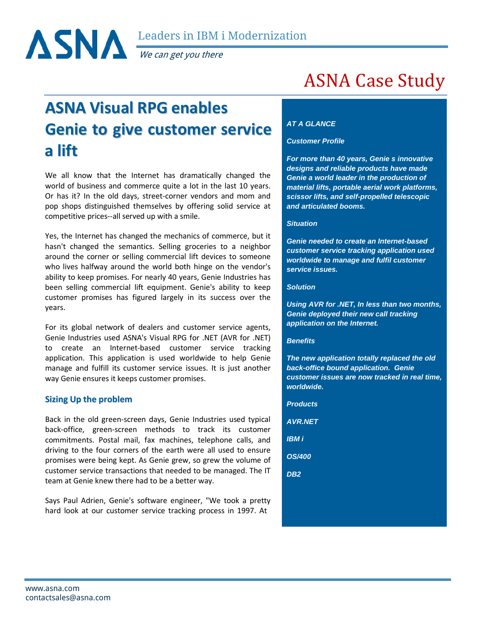

**a lift**

We can get you there

# **ASNA Visual RPG enables Genie to give customer service**

We all know that the Internet has dramatically changed the world of business and commerce quite a lot in the last 10 years. Or has it? In the old days, street-corner vendors and mom and pop shops distinguished themselves by offering solid service at competitive prices--all served up with a smile.

Yes, the Internet has changed the mechanics of commerce, but it hasn't changed the semantics. Selling groceries to a neighbor around the corner or selling commercial lift devices to someone who lives halfway around the world both hinge on the vendor's ability to keep promises. For nearly 40 years, Genie Industries has been selling commercial lift equipment. Genie's ability to keep customer promises has figured largely in its success over the years.

For its global network of dealers and customer service agents, Genie Industries used ASNA's Visual RPG for .NET (AVR for .NET) to create an Internet-based customer service tracking application. This application is used worldwide to help Genie manage and fulfill its customer service issues. It is just another way Genie ensures it keeps customer promises.

# **Sizing Up the problem**

Back in the old green-screen days, Genie Industries used typical back-office, green-screen methods to track its customer commitments. Postal mail, fax machines, telephone calls, and driving to the four corners of the earth were all used to ensure promises were being kept. As Genie grew, so grew the volume of customer service transactions that needed to be managed. The IT team at Genie knew there had to be a better way.

Says Paul Adrien, Genie's software engineer, "We took a pretty hard look at our customer service tracking process in 1997. At

# ASNA Case Study

# *AT A GLANCE*

#### *Customer Profile*

*For more than 40 years, Genie s innovative designs and reliable products have made Genie a world leader in the production of material lifts, portable aerial work platforms, scissor lifts, and self-propelled telescopic and articulated booms.*

#### *Situation*

*Genie needed to create an Internet-based customer service tracking application used worldwide to manage and fulfil customer service issues.*

#### *Solution*

*Using AVR for .NET, In less than two months, Genie deployed their new call tracking application on the Internet.*

#### *Benefits*

*The new application totally replaced the old back-office bound application. Genie customer issues are now tracked in real time, worldwide.*

*Products AVR.NET IBM i OS/400 DB2*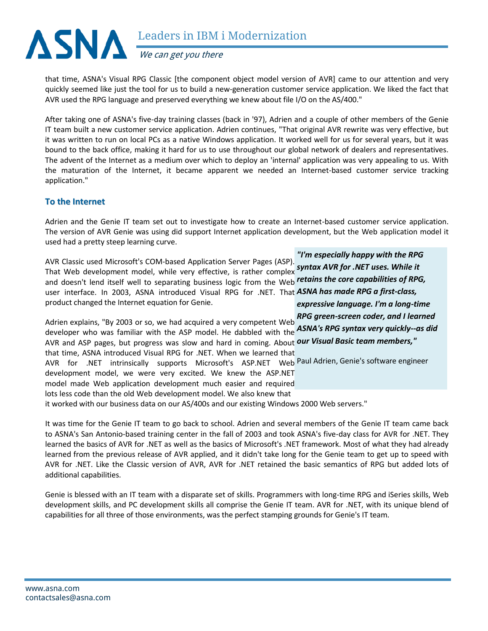

that time, ASNA's Visual RPG Classic [the component object model version of AVR] came to our attention and very quickly seemed like just the tool for us to build a new-generation customer service application. We liked the fact that AVR used the RPG language and preserved everything we knew about file I/O on the AS/400."

After taking one of ASNA's five-day training classes (back in '97), Adrien and a couple of other members of the Genie IT team built a new customer service application. Adrien continues, "That original AVR rewrite was very effective, but it was written to run on local PCs as a native Windows application. It worked well for us for several years, but it was bound to the back office, making it hard for us to use throughout our global network of dealers and representatives. The advent of the Internet as a medium over which to deploy an 'internal' application was very appealing to us. With the maturation of the Internet, it became apparent we needed an Internet-based customer service tracking application."

### **To the Internet**

Adrien and the Genie IT team set out to investigate how to create an Internet-based customer service application. The version of AVR Genie was using did support Internet application development, but the Web application model it used had a pretty steep learning curve.

AVR Classic used Microsoft's COM-based Application Server Pages (ASP). That Web development model, while very effective, is rather complex *syntax AVR for .NET uses. While it*  and doesn't lend itself well to separating business logic from the Web *retains the core capabilities of RPG,*  user interface. In 2003, ASNA introduced Visual RPG for .NET. That *ASNA has made RPG a first-class,*  product changed the Internet equation for Genie.

Adrien explains, "By 2003 or so, we had acquired a very competent Web developer who was familiar with the ASP model. He dabbled with the *ASNA's RPG syntax very quickly--as did*  AVR and ASP pages, but progress was slow and hard in coming. About **our Visual Basic team members,**" that time, ASNA introduced Visual RPG for .NET. When we learned that AVR for .NET intrinsically supports Microsoft's ASP.NET Web<sup>Paul Adrien, Genie's software engineer</sup> development model, we were very excited. We knew the ASP.NET model made Web application development much easier and required lots less code than the old Web development model. We also knew that it worked with our business data on our AS/400s and our existing Windows 2000 Web servers."

It was time for the Genie IT team to go back to school. Adrien and several members of the Genie IT team came back to ASNA's San Antonio-based training center in the fall of 2003 and took ASNA's five-day class for AVR for .NET. They learned the basics of AVR for .NET as well as the basics of Microsoft's .NET framework. Most of what they had already learned from the previous release of AVR applied, and it didn't take long for the Genie team to get up to speed with AVR for .NET. Like the Classic version of AVR, AVR for .NET retained the basic semantics of RPG but added lots of additional capabilities.

Genie is blessed with an IT team with a disparate set of skills. Programmers with long-time RPG and iSeries skills, Web development skills, and PC development skills all comprise the Genie IT team. AVR for .NET, with its unique blend of capabilities for all three of those environments, was the perfect stamping grounds for Genie's IT team.

*"I'm especially happy with the RPG expressive language. I'm a long-time RPG green-screen coder, and I learned*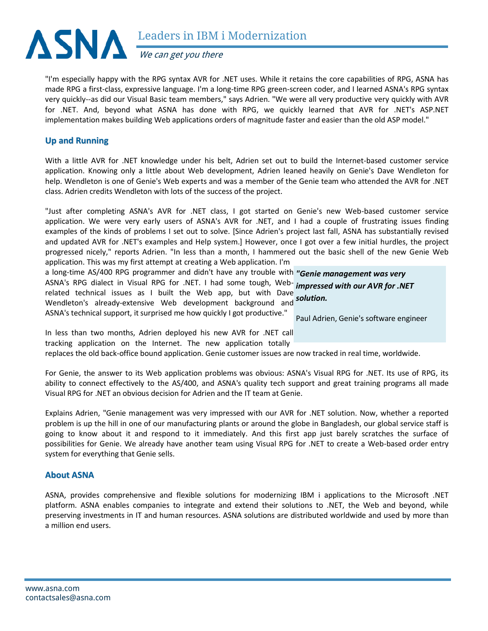

We can get you there

"I'm especially happy with the RPG syntax AVR for .NET uses. While it retains the core capabilities of RPG, ASNA has made RPG a first-class, expressive language. I'm a long-time RPG green-screen coder, and I learned ASNA's RPG syntax very quickly--as did our Visual Basic team members," says Adrien. "We were all very productive very quickly with AVR for .NET. And, beyond what ASNA has done with RPG, we quickly learned that AVR for .NET's ASP.NET implementation makes building Web applications orders of magnitude faster and easier than the old ASP model."

# **Up and Running**

With a little AVR for .NET knowledge under his belt, Adrien set out to build the Internet-based customer service application. Knowing only a little about Web development, Adrien leaned heavily on Genie's Dave Wendleton for help. Wendleton is one of Genie's Web experts and was a member of the Genie team who attended the AVR for .NET class. Adrien credits Wendleton with lots of the success of the project.

"Just after completing ASNA's AVR for .NET class, I got started on Genie's new Web-based customer service application. We were very early users of ASNA's AVR for .NET, and I had a couple of frustrating issues finding examples of the kinds of problems I set out to solve. [Since Adrien's project last fall, ASNA has substantially revised and updated AVR for .NET's examples and Help system.] However, once I got over a few initial hurdles, the project progressed nicely," reports Adrien. "In less than a month, I hammered out the basic shell of the new Genie Web application. This was my first attempt at creating a Web application. I'm

a long-time AS/400 RPG programmer and didn't have any trouble with *"Genie management was very*  ASNA's RPG dialect in Visual RPG for .NET. I had some tough, Web-*impressed with our AVR for .NET*  related technical issues as I built the Web app, but with Dave Wendleton's already-extensive Web development background and *solution.* ASNA's technical support, it surprised me how quickly I got productive." Paul Adrien, Genie's software engineer

In less than two months, Adrien deployed his new AVR for .NET call tracking application on the Internet. The new application totally

replaces the old back-office bound application. Genie customer issues are now tracked in real time, worldwide.

For Genie, the answer to its Web application problems was obvious: ASNA's Visual RPG for .NET. Its use of RPG, its ability to connect effectively to the AS/400, and ASNA's quality tech support and great training programs all made Visual RPG for .NET an obvious decision for Adrien and the IT team at Genie.

Explains Adrien, "Genie management was very impressed with our AVR for .NET solution. Now, whether a reported problem is up the hill in one of our manufacturing plants or around the globe in Bangladesh, our global service staff is going to know about it and respond to it immediately. And this first app just barely scratches the surface of possibilities for Genie. We already have another team using Visual RPG for .NET to create a Web-based order entry system for everything that Genie sells.

# **About ASNA**

ASNA, provides comprehensive and flexible solutions for modernizing IBM i applications to the Microsoft .NET platform. ASNA enables companies to integrate and extend their solutions to .NET, the Web and beyond, while preserving investments in IT and human resources. ASNA solutions are distributed worldwide and used by more than a million end users.